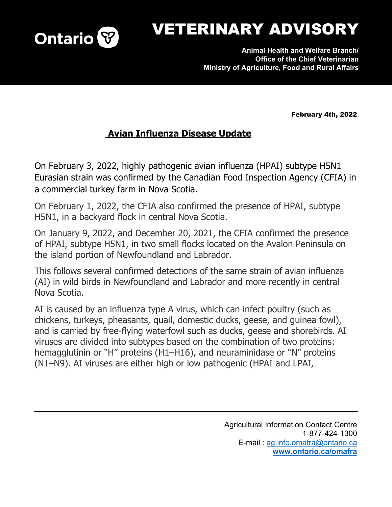

## VETERINARY ADVISORY

**Animal Health and Welfare Branch/ Office of the Chief Veterinarian Ministry of Agriculture, Food and Rural Affairs**

February 4th, 2022

## **Avian Influenza Disease Update**

On February 3, 2022, highly pathogenic avian influenza (HPAI) subtype H5N1 Eurasian strain was confirmed by the Canadian Food Inspection Agency (CFIA) in a commercial turkey farm in Nova Scotia.

On February 1, 2022, the CFIA also confirmed the presence of HPAI, subtype H5N1, in a backyard flock in central Nova Scotia.

On January 9, 2022, and December 20, 2021, the CFIA confirmed the presence of HPAI, subtype H5N1, in two small flocks located on the Avalon Peninsula on the island portion of Newfoundland and Labrador.

This follows several confirmed detections of the same strain of avian influenza (AI) in wild birds in Newfoundland and Labrador and more recently in central Nova Scotia.

AI is caused by an influenza type A virus, which can infect poultry (such as chickens, turkeys, pheasants, quail, domestic ducks, geese, and guinea fowl), and is carried by free-flying waterfowl such as ducks, geese and shorebirds. AI viruses are divided into subtypes based on the combination of two proteins: hemagglutinin or "H" proteins (H1–H16), and neuraminidase or "N" proteins (N1–N9). AI viruses are either high or low pathogenic (HPAI and LPAI,

> Agricultural Information Contact Centre 1-877-424-1300 E-mail : [ag.info.omafra@ontario.ca](mailto:ag.info.omafra@ontario.ca) **[www.ontario.ca/omafra](http://www.ontario.ca/omafra)**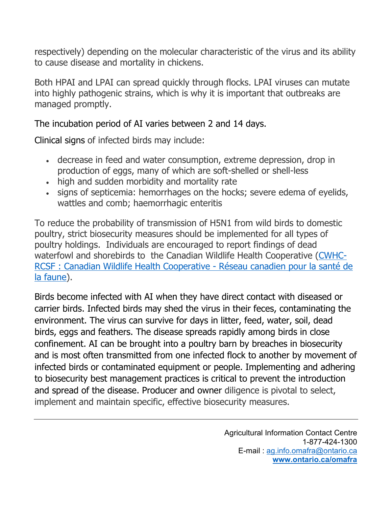respectively) depending on the molecular characteristic of the virus and its ability to cause disease and mortality in chickens.

Both HPAI and LPAI can spread quickly through flocks. LPAI viruses can mutate into highly pathogenic strains, which is why it is important that outbreaks are managed promptly.

The incubation period of AI varies between 2 and 14 days.

Clinical signs of infected birds may include:

- decrease in feed and water consumption, extreme depression, drop in production of eggs, many of which are soft-shelled or shell-less
- high and sudden morbidity and mortality rate
- signs of septicemia: hemorrhages on the hocks; severe edema of eyelids, wattles and comb; haemorrhagic enteritis

To reduce the probability of transmission of H5N1 from wild birds to domestic poultry, strict biosecurity measures should be implemented for all types of poultry holdings. Individuals are encouraged to report findings of dead waterfowl and shorebirds to the Canadian Wildlife Health Cooperative [\(CWHC-](http://www.cwhc-rcsf.ca/report_and_submit.php)[RCSF : Canadian Wildlife Health Cooperative -](http://www.cwhc-rcsf.ca/report_and_submit.php) Réseau canadien pour la santé de [la faune\)](http://www.cwhc-rcsf.ca/report_and_submit.php).

Birds become infected with AI when they have direct contact with diseased or carrier birds. Infected birds may shed the virus in their feces, contaminating the environment. The virus can survive for days in litter, feed, water, soil, dead birds, eggs and feathers. The disease spreads rapidly among birds in close confinement. AI can be brought into a poultry barn by breaches in biosecurity and is most often transmitted from one infected flock to another by movement of infected birds or contaminated equipment or people. Implementing and adhering to biosecurity best management practices is critical to prevent the introduction and spread of the disease. Producer and owner diligence is pivotal to select, implement and maintain specific, effective biosecurity measures.

> Agricultural Information Contact Centre 1-877-424-1300 E-mail : [ag.info.omafra@ontario.ca](mailto:ag.info.omafra@ontario.ca) **[www.ontario.ca/omafra](http://www.ontario.ca/omafra)**